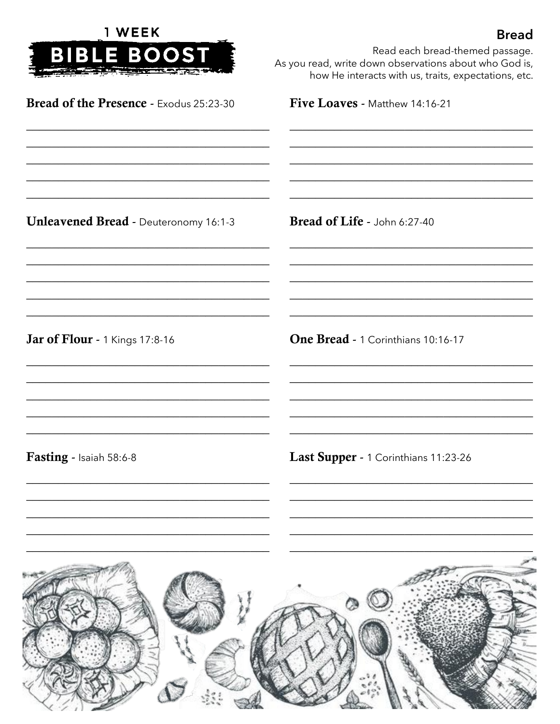| 1 WEEK<br><b>BIBLE BOOST</b>                                                                              | <b>Bread</b><br>Read each bread-themed passage.<br>As you read, write down observations about who God is,<br>how He interacts with us, traits, expectations, etc. |
|-----------------------------------------------------------------------------------------------------------|-------------------------------------------------------------------------------------------------------------------------------------------------------------------|
| Bread of the Presence - Exodus 25:23-30                                                                   | Five Loaves - Matthew 14:16-21                                                                                                                                    |
|                                                                                                           |                                                                                                                                                                   |
| <b>Unleavened Bread - Deuteronomy 16:1-3</b><br>Jar of Flour - 1 Kings 17:8-16<br>Fasting - Isaiah 58:6-8 | Bread of Life - John 6:27-40                                                                                                                                      |
|                                                                                                           |                                                                                                                                                                   |
|                                                                                                           | One Bread - 1 Corinthians 10:16-17                                                                                                                                |
|                                                                                                           | Last Supper - 1 Corinthians 11:23-26                                                                                                                              |
|                                                                                                           |                                                                                                                                                                   |
|                                                                                                           |                                                                                                                                                                   |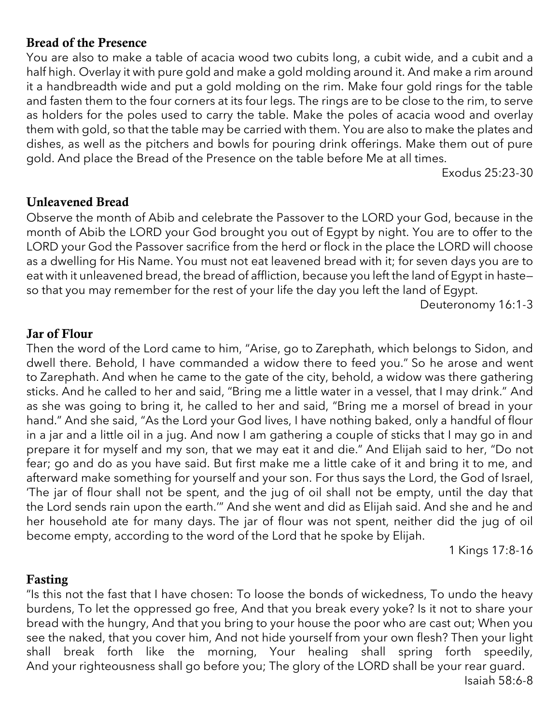# Bread of the Presence

You are also to make a table of acacia wood two cubits long, a cubit wide, and a cubit and a half high. Overlay it with pure gold and make a gold molding around it. And make a rim around it a handbreadth wide and put a gold molding on the rim. Make four gold rings for the table and fasten them to the four corners at its four legs. The rings are to be close to the rim, to serve as holders for the poles used to carry the table. Make the poles of acacia wood and overlay them with gold, so that the table may be carried with them. You are also to make the plates and dishes, as well as the pitchers and bowls for pouring drink offerings. Make them out of pure gold. And place the Bread of the Presence on the table before Me at all times.

Exodus 25:23-30

## Unleavened Bread

Observe the month of Abib and celebrate the Passover to the LORD your God, because in the month of Abib the LORD your God brought you out of Egypt by night. You are to offer to the LORD your God the Passover sacrifice from the herd or flock in the place the LORD will choose as a dwelling for His Name. You must not eat leavened bread with it; for seven days you are to eat with it unleavened bread, the bread of affliction, because you left the land of Egypt in hasteso that you may remember for the rest of your life the day you left the land of Egypt.

Deuteronomy 16:1-3

## Jar of Flour

Then the word of the Lord came to him, "Arise, go to Zarephath, which belongs to Sidon, and dwell there. Behold, I have commanded a widow there to feed you." So he arose and went to Zarephath. And when he came to the gate of the city, behold, a widow was there gathering sticks. And he called to her and said, "Bring me a little water in a vessel, that I may drink." And as she was going to bring it, he called to her and said, "Bring me a morsel of bread in your hand." And she said, "As the Lord your God lives, I have nothing baked, only a handful of flour in a jar and a little oil in a jug. And now I am gathering a couple of sticks that I may go in and prepare it for myself and my son, that we may eat it and die." And Elijah said to her, "Do not fear; go and do as you have said. But first make me a little cake of it and bring it to me, and afterward make something for yourself and your son. For thus says the Lord, the God of Israel, 'The jar of flour shall not be spent, and the jug of oil shall not be empty, until the day that the Lord sends rain upon the earth.'" And she went and did as Elijah said. And she and he and her household ate for many days. The jar of flour was not spent, neither did the jug of oil become empty, according to the word of the Lord that he spoke by Elijah.

1 Kings 17:8-16

#### Fasting

"Is this not the fast that I have chosen: To loose the bonds of wickedness, To undo the heavy burdens, To let the oppressed go free, And that you break every yoke? Is it not to share your bread with the hungry, And that you bring to your house the poor who are cast out; When you see the naked, that you cover him, And not hide yourself from your own flesh? Then your light shall break forth like the morning, Your healing shall spring forth speedily, And your righteousness shall go before you; The glory of the LORD shall be your rear guard.